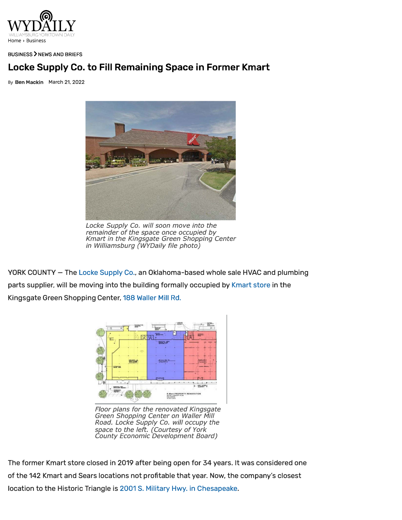

## BUSINESS) NEWS AND BRIEFS

## **Locke Supply Co. to Fill Remaining Space in Former Kmart**

By **Ben Mackin** March 21, 2022



*Locke Supply Co. will soon move into the remainder of the space once occupied by Kmart in the Kingsgate Green Shopping Center in Williamsburg (WYDaily file photo)* 

YORK COUNTY - The Locke Supply Co., an Oklahoma-based whole sale HVAC and plumbing parts supplier. will be moving into the building formally occupied by Kmart store in the Kingsgate Green Shopping Center, 188 Waller Mill Rd.



*Floor plans for the renovated Kingsgate Green Shopping Center on Waller Mill Road. Locke Supply* Co. *will occupy the space to the left. (Courtesy of York County Economic Development Board)* 

The former Kmart store closed in 2019 after being open for 34 years. It was considered one of the 142 Kmart and Sears locations not profitable that year. Now, the company's closest location to the Historic Triangle is 2001 S. Military Hwy. in Chesapeake.